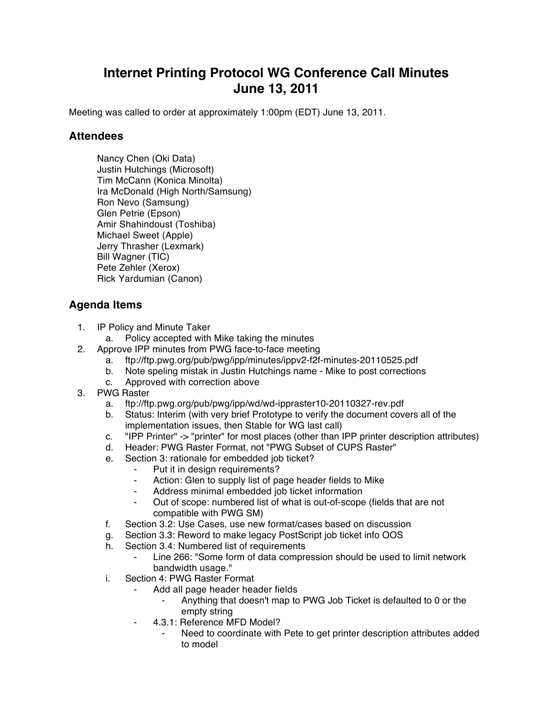## **Internet Printing Protocol WG Conference Call Minutes June 13, 2011**

Meeting was called to order at approximately 1:00pm (EDT) June 13, 2011.

## **Attendees**

Nancy Chen (Oki Data) Justin Hutchings (Microsoft) Tim McCann (Konica Minolta) Ira McDonald (High North/Samsung) Ron Nevo (Samsung) Glen Petrie (Epson) Amir Shahindoust (Toshiba) Michael Sweet (Apple) Jerry Thrasher (Lexmark) Bill Wagner (TIC) Pete Zehler (Xerox) Rick Yardumian (Canon)

## **Agenda Items**

- 1. IP Policy and Minute Taker
	- a. Policy accepted with Mike taking the minutes
- 2. Approve IPP minutes from PWG face-to-face meeting
	- a. ftp://ftp.pwg.org/pub/pwg/ipp/minutes/ippv2-f2f-minutes-20110525.pdf
	- b. Note speling mistak in Justin Hutchings name Mike to post corrections
	- c. Approved with correction above
- 3. PWG Raster
	- a. ftp://ftp.pwg.org/pub/pwg/ipp/wd/wd-ippraster10-20110327-rev.pdf
	- b. Status: Interim (with very brief Prototype to verify the document covers all of the implementation issues, then Stable for WG last call)
	- c. "IPP Printer" -> "printer" for most places (other than IPP printer description attributes)
	- d. Header: PWG Raster Format, not "PWG Subset of CUPS Raster"
	- e. Section 3: rationale for embedded job ticket?
		- ⁃ Put it in design requirements?
		- ⁃ Action: Glen to supply list of page header fields to Mike
		- Address minimal embedded job ticket information
		- ⁃ Out of scope: numbered list of what is out-of-scope (fields that are not compatible with PWG SM)
	- f. Section 3.2: Use Cases, use new format/cases based on discussion
	- g. Section 3.3: Reword to make legacy PostScript job ticket info OOS
	- h. Section 3.4: Numbered list of requirements
		- Line 266: "Some form of data compression should be used to limit network bandwidth usage."
	- i. Section 4: PWG Raster Format
		- Add all page header header fields
			- Anything that doesn't map to PWG Job Ticket is defaulted to 0 or the empty string
		- ⁃ 4.3.1: Reference MFD Model?
			- Need to coordinate with Pete to get printer description attributes added to model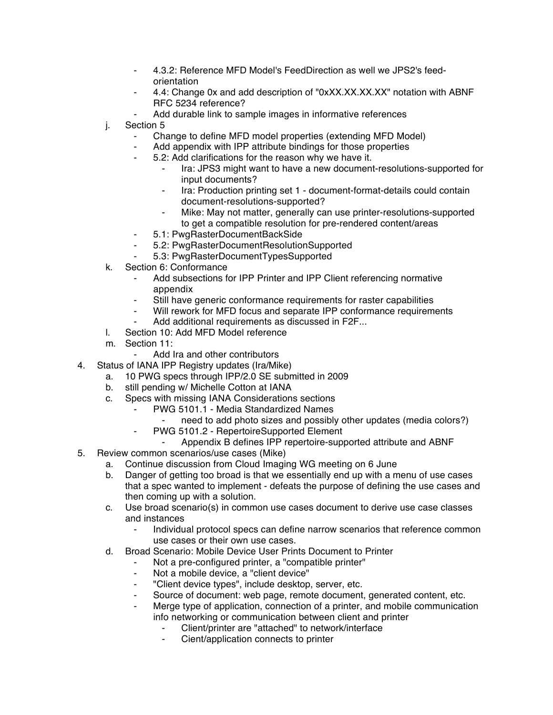- ⁃ 4.3.2: Reference MFD Model's FeedDirection as well we JPS2's feedorientation
- ⁃ 4.4: Change 0x and add description of "0xXX.XX.XX.XX" notation with ABNF RFC 5234 reference?
- Add durable link to sample images in informative references
- j. Section 5
	- ⁃ Change to define MFD model properties (extending MFD Model)
	- Add appendix with IPP attribute bindings for those properties
	- ⁃ 5.2: Add clarifications for the reason why we have it.
		- Ira: JPS3 might want to have a new document-resolutions-supported for input documents?
		- ⁃ Ira: Production printing set 1 document-format-details could contain document-resolutions-supported?
		- Mike: May not matter, generally can use printer-resolutions-supported to get a compatible resolution for pre-rendered content/areas
	- ⁃ 5.1: PwgRasterDocumentBackSide
	- ⁃ 5.2: PwgRasterDocumentResolutionSupported
	- ⁃ 5.3: PwgRasterDocumentTypesSupported
- k. Section 6: Conformance
	- Add subsections for IPP Printer and IPP Client referencing normative appendix
	- Still have generic conformance requirements for raster capabilities
	- ⁃ Will rework for MFD focus and separate IPP conformance requirements
	- Add additional requirements as discussed in F2F...
- l. Section 10: Add MFD Model reference
- m. Section 11:
	- ⁃ Add Ira and other contributors
- 4. Status of IANA IPP Registry updates (Ira/Mike)
	- a. 10 PWG specs through IPP/2.0 SE submitted in 2009
	- b. still pending w/ Michelle Cotton at IANA
	- c. Specs with missing IANA Considerations sections
		- PWG 5101.1 Media Standardized Names
			- need to add photo sizes and possibly other updates (media colors?)
		- ⁃ PWG 5101.2 RepertoireSupported Element
			- Appendix B defines IPP repertoire-supported attribute and ABNF
- 5. Review common scenarios/use cases (Mike)
	- a. Continue discussion from Cloud Imaging WG meeting on 6 June
	- b. Danger of getting too broad is that we essentially end up with a menu of use cases that a spec wanted to implement - defeats the purpose of defining the use cases and then coming up with a solution.
	- c. Use broad scenario(s) in common use cases document to derive use case classes and instances
		- Individual protocol specs can define narrow scenarios that reference common use cases or their own use cases.
	- d. Broad Scenario: Mobile Device User Prints Document to Printer
		- Not a pre-configured printer, a "compatible printer"
		- ⁃ Not a mobile device, a "client device"
		- ⁃ "Client device types", include desktop, server, etc.
		- Source of document: web page, remote document, generated content, etc.
		- Merge type of application, connection of a printer, and mobile communication info networking or communication between client and printer
			- Client/printer are "attached" to network/interface
			- Cient/application connects to printer